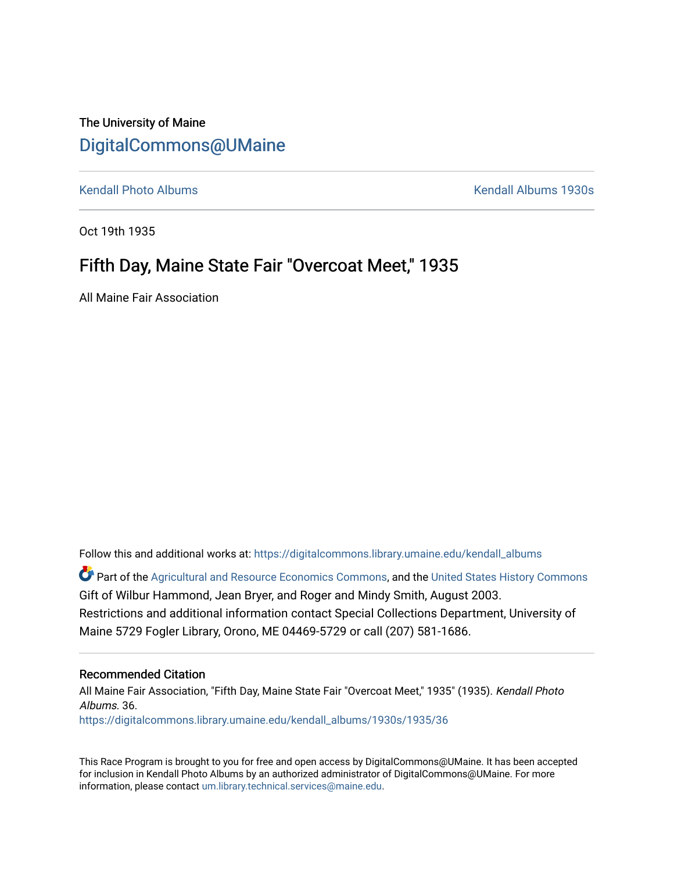The University of Maine [DigitalCommons@UMaine](https://digitalcommons.library.umaine.edu/)

[Kendall Photo Albums](https://digitalcommons.library.umaine.edu/kendall_albums) [Kendall Albums 1930s](https://digitalcommons.library.umaine.edu/kendall_albums/1930s) 

Oct 19th 1935

#### Fifth Day, Maine State Fair "Overcoat Meet," 1935

All Maine Fair Association

Follow this and additional works at: [https://digitalcommons.library.umaine.edu/kendall\\_albums](https://digitalcommons.library.umaine.edu/kendall_albums?utm_source=digitalcommons.library.umaine.edu%2Fkendall_albums%2F1930s%2F1935%2F36&utm_medium=PDF&utm_campaign=PDFCoverPages) 

**C** Part of the [Agricultural and Resource Economics Commons,](http://network.bepress.com/hgg/discipline/317?utm_source=digitalcommons.library.umaine.edu%2Fkendall_albums%2F1930s%2F1935%2F36&utm_medium=PDF&utm_campaign=PDFCoverPages) and the [United States History Commons](http://network.bepress.com/hgg/discipline/495?utm_source=digitalcommons.library.umaine.edu%2Fkendall_albums%2F1930s%2F1935%2F36&utm_medium=PDF&utm_campaign=PDFCoverPages) Gift of Wilbur Hammond, Jean Bryer, and Roger and Mindy Smith, August 2003. Restrictions and additional information contact Special Collections Department, University of Maine 5729 Fogler Library, Orono, ME 04469-5729 or call (207) 581-1686.

#### Recommended Citation

All Maine Fair Association, "Fifth Day, Maine State Fair "Overcoat Meet," 1935" (1935). Kendall Photo Albums. 36. [https://digitalcommons.library.umaine.edu/kendall\\_albums/1930s/1935/36](https://digitalcommons.library.umaine.edu/kendall_albums/1930s/1935/36?utm_source=digitalcommons.library.umaine.edu%2Fkendall_albums%2F1930s%2F1935%2F36&utm_medium=PDF&utm_campaign=PDFCoverPages)

This Race Program is brought to you for free and open access by DigitalCommons@UMaine. It has been accepted for inclusion in Kendall Photo Albums by an authorized administrator of DigitalCommons@UMaine. For more information, please contact [um.library.technical.services@maine.edu](mailto:um.library.technical.services@maine.edu).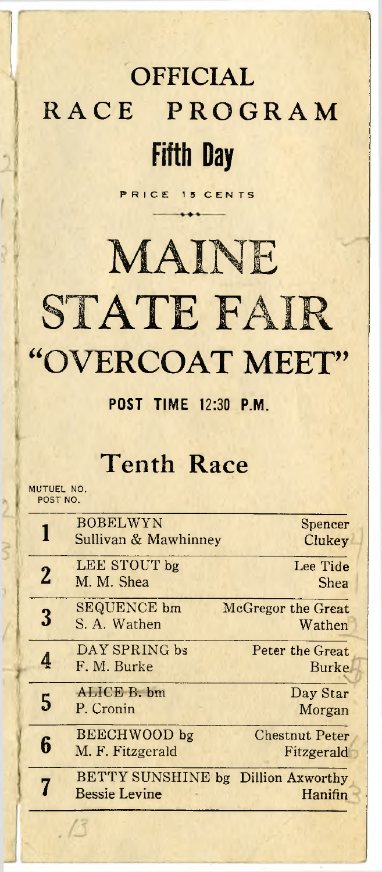## **OFFICIAL** RACE PROGRAM Fifth Day

**P R I C E 1 5 C E N T S**

# **MAINE**

# **STATE** FAIR "OVERCOAT MEET"

#### **POST TIME 12:30 P.M.**

#### **Tenth Race**

MUTUEL NO. **POST NO.**

 $(1)$ 

|   | <b>BOBELWYN</b><br>Sullivan & Mawhinney                    | Spencer<br>Clukey                   |
|---|------------------------------------------------------------|-------------------------------------|
| 2 | LEE STOUT bg<br>M. M. Shea                                 | Lee Tide<br><b>Shea</b>             |
|   | <b>SEQUENCE</b> bm<br>S. A. Wathen                         | McGregor the Great<br>Wathen        |
|   | DAY SPRING bs<br>F. M. Burke                               | Peter the Great<br><b>Burke</b>     |
| 5 | ALICE B. bm<br>P. Cronin                                   | Day Star<br>Morgan                  |
|   | BEECHWOOD bg<br>M. F. Fitzgerald                           | <b>Chestnut Peter</b><br>Fitzgerald |
|   | BETTY SUNSHINE bg Dillion Axworthy<br><b>Bessie Levine</b> | Hanifin                             |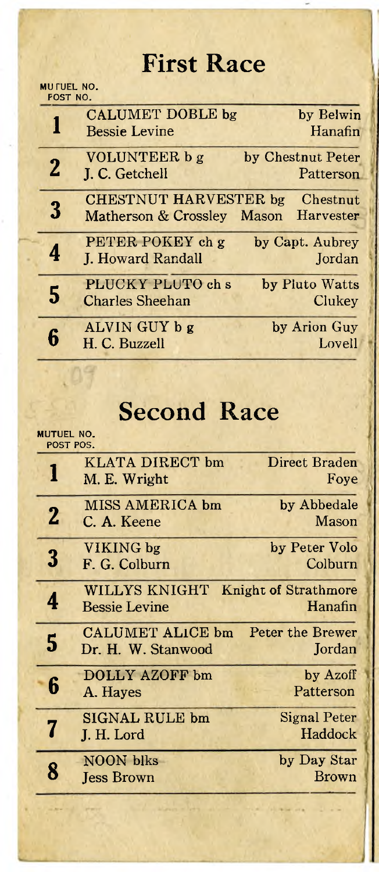#### **First Race**

**MUTUEL NO. POST NO.**

|          | <b>CALUMET DOBLE bg</b><br><b>Bessie Levine</b>      | by Belwin<br>Hanafin           |
|----------|------------------------------------------------------|--------------------------------|
| $\bf{2}$ | <b>VOLUNTEER b g</b><br>J. C. Getchell               | by Chestnut Peter<br>Patterson |
| 3        | <b>CHESTNUT HARVESTER bg</b><br>Matherson & Crossley | Chestnut<br>Harvester<br>Mason |
|          | PETER POKEY ch g<br>J. Howard Randall                | by Capt. Aubrey<br>Jordan      |
|          | PLUCKY PLUTO ch s<br><b>Charles Sheehan</b>          | by Pluto Watts<br>Clukey       |
|          | ALVIN GUY b g<br>H. C. Buzzell                       | by Arion Guy<br>Lovell         |

#### **Second Race**

**MUTUEL NO.**

|          | POST POS.                                     |                                        |
|----------|-----------------------------------------------|----------------------------------------|
|          | <b>KLATA DIRECT bm</b><br>M. E. Wright        | Direct Braden<br>Foye                  |
| $\bf{2}$ | MISS AMERICA bm<br>C. A. Keene                | by Abbedale<br>Mason                   |
| 3        | VIKING bg<br>F. G. Colburn                    | by Peter Volo<br>Colburn               |
|          | WILLYS KNIGHT<br><b>Bessie Levine</b>         | <b>Knight of Strathmore</b><br>Hanafin |
| 5        | <b>CALUMET ALICE bm</b><br>Dr. H. W. Stanwood | Peter the Brewer<br>Jordan             |
| 6        | <b>DOLLY AZOFF bm</b><br>A. Hayes             | by Azoff<br>Patterson                  |
|          | <b>SIGNAL RULE bm</b><br>J. H. Lord           | Signal Peter<br>Haddock                |
|          | NOON blks<br><b>Jess Brown</b>                | by Day Star<br><b>Brown</b>            |
|          |                                               |                                        |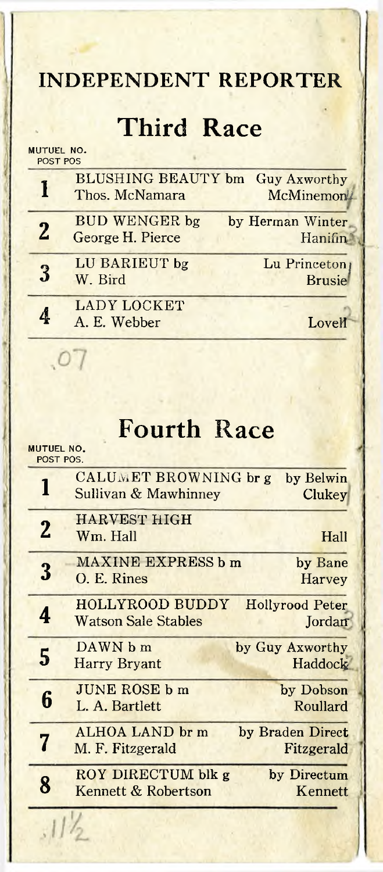#### **INDEPENDENT REPORTER**

#### **Third Race**

**MUTUEL NO. POST POS**

|              | <b>BLUSHING BEAUTY bm</b> Guy Axworthy<br>Thos. McNamara | <b>McMinemon</b>              |
|--------------|----------------------------------------------------------|-------------------------------|
| $\mathbf{2}$ | <b>BUD WENGER bg</b><br>George H. Pierce                 | by Herman Winter<br>Hanifin   |
|              | LU BARIEUT bg<br>W. Bird                                 | Lu Princeton<br><b>Brusie</b> |
|              | <b>LADY LOCKET</b><br>A. E. Webber                       | Lovell                        |

#### **Fourth Race**

**MUTUEL NO.**

 $.07$ 

|                | POST POS.                                            |                                   |
|----------------|------------------------------------------------------|-----------------------------------|
|                | CALUMET BROWNING br g<br>Sullivan & Mawhinney        | by Belwin<br><b>Clukey</b>        |
| $\overline{2}$ | <b>HARVEST HIGH</b><br>Wm. Hall                      | Hall                              |
| 3              | MAXINE EXPRESS b m<br>O. E. Rines                    | by Bane<br><b>Harvey</b>          |
| 4              | <b>HOLLYROOD BUDDY</b><br><b>Watson Sale Stables</b> | <b>Hollyrood Peter</b><br>Jordan  |
| 5              | DAWN b m<br><b>Harry Bryant</b>                      | by Guy Axworthy<br><b>Haddock</b> |
| 6              | <b>JUNE ROSE b m</b><br>L. A. Bartlett               | by Dobson<br>Roullard             |
|                | ALHOA LAND br m<br>M. F. Fitzgerald                  | by Braden Direct<br>Fitzgerald    |
| 8              | ROY DIRECTUM blk g<br>Kennett & Robertson            | by Directum<br>Kennett            |
|                |                                                      |                                   |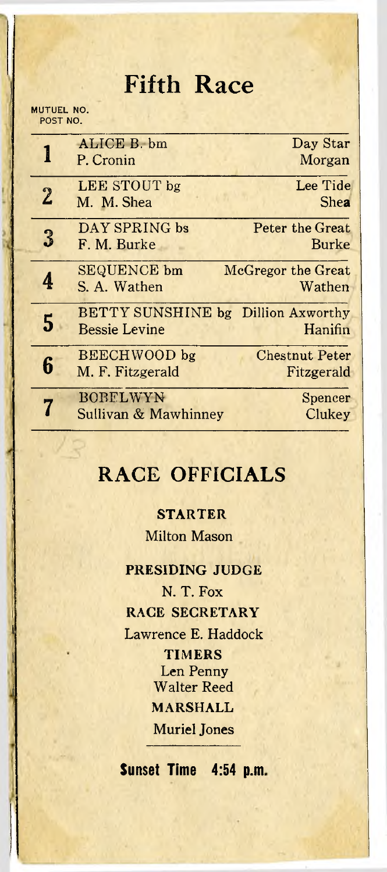#### **Fifth Race**

#### **MUTUEL NO. POST NO.**

|             | ALICE B. bm<br>P. Cronin                                   | Day Star<br>Morgan                  |
|-------------|------------------------------------------------------------|-------------------------------------|
| $\tilde{z}$ | LEE STOUT bg<br>M. M. Shea                                 | Lee Tide<br>Shea                    |
| ြိ          | DAY SPRING bs<br>F. M. Burke                               | Peter the Great<br><b>Burke</b>     |
|             | <b>SEQUENCE</b> bm<br>S. A. Wathen                         | McGregor the Great<br>Wathen        |
| 5           | BETTY SUNSHINE bg Dillion Axworthy<br><b>Bessie Levine</b> | Hanifin                             |
| Б           | <b>BEECHWOOD</b> bg<br>M. F. Fitzgerald                    | <b>Chestnut Peter</b><br>Fitzgerald |
|             | <b>BOBELWYN</b><br>Sullivan & Mawhinney                    | Spencer<br>Clukey                   |

#### **RACE OFFICIALS**

#### **STARTER**

Milton Mason

PRESIDING JUDGE N. T. Fox RACE SECRETARY Lawrence E. Haddock **TIMERS** Len Penny Walter Reed MARSHALL Muriel Jones

**Sunset Time 4:54 p.m,**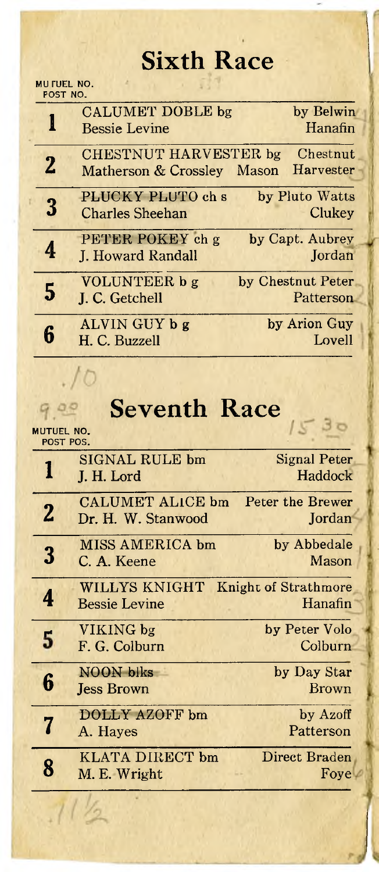## **Sixth Race**

**MU TUEL NO. POST NO.**

 $.10$ 

|   | <b>CALUMET DOBLE bg</b><br><b>Bessie Levine</b>     | by Belwin<br>Hanafin           |
|---|-----------------------------------------------------|--------------------------------|
| 2 | CHESTNUT HARVESTER bg<br>Matherson & Crossley Mason | Chestnut<br>Harvester          |
| 3 | PLUCKY PLUTO ch s<br><b>Charles Sheehan</b>         | by Pluto Watts<br>Clukey       |
|   | PETER POKEY ch g<br>J. Howard Randall               | by Capt. Aubrey<br>Jordan      |
| 5 | <b>VOLUNTEER b g</b><br>J. C. Getchell              | by Chestnut Peter<br>Patterson |
|   | ALVIN GUY b g<br>H. C. Buzzell                      | by Arion Guy<br>Lovell         |

### **Seventh Race**

| <b>MUTUEL NO.</b><br>POST POS. |                                        |                                        |
|--------------------------------|----------------------------------------|----------------------------------------|
|                                | <b>SIGNAL RULE bm</b><br>J. H. Lord    | Signal Peter<br>Haddock                |
| $\mathbf 2$                    | CALUMET ALICE bm<br>Dr. H. W. Stanwood | Peter the Brewer<br>Jordan             |
| 3                              | MISS AMERICA bm<br>C. A. Keene         | by Abbedale<br>Mason                   |
| 4                              | WILLYS KNIGHT<br><b>Bessie Levine</b>  | <b>Knight of Strathmore</b><br>Hanafin |
| 5                              | VIKING bg<br>F. G. Colburn             | by Peter Volo<br>Colburn               |
| 'n                             | <b>NOON</b> blks<br><b>Jess Brown</b>  | by Day Star<br><b>Brown</b>            |
|                                | DOLLY AZOFF bm<br>A. Hayes             | by Azoff<br>Patterson                  |
| 8                              | KLATA DIRECT bm<br>M. E. Wright        | Direct Braden<br>Foye                  |
|                                |                                        |                                        |